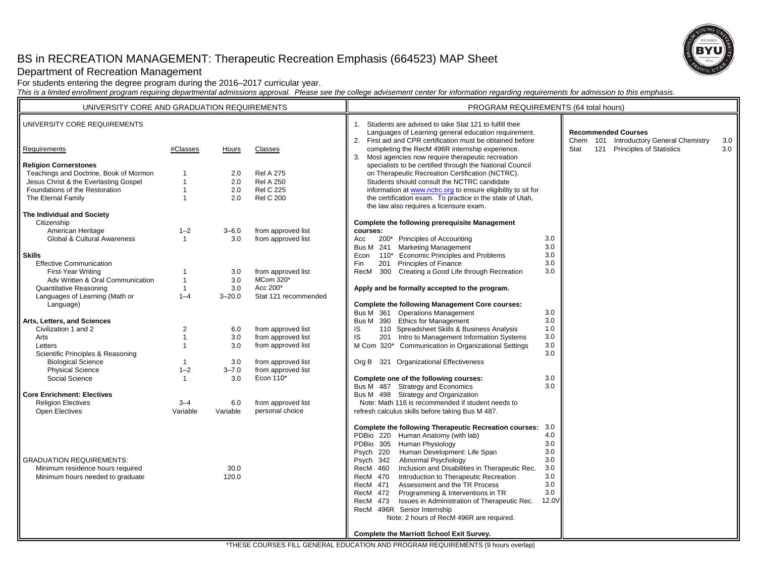# BS in RECREATION MANAGEMENT: Therapeutic Recreation Emphasis (664523) MAP Sheet



Department of Recreation Management

For students entering the degree program during the 2016–2017 curricular year.

*This is a limited enrollment program requiring departmental admissions approval. Please see the college advisement center for information regarding requirements for admission to this emphasis.*

| UNIVERSITY CORE AND GRADUATION REQUIREMENTS |                |            | PROGRAM REQUIREMENTS (64 total hours) |                                                                                                                                                                                 |            |                                                                       |     |
|---------------------------------------------|----------------|------------|---------------------------------------|---------------------------------------------------------------------------------------------------------------------------------------------------------------------------------|------------|-----------------------------------------------------------------------|-----|
| UNIVERSITY CORE REQUIREMENTS                |                |            |                                       | 1. Students are advised to take Stat 121 to fulfill their<br>Languages of Learning general education requirement.<br>2. First aid and CPR certification must be obtained before |            | <b>Recommended Courses</b><br>Chem 101 Introductory General Chemistry | 3.0 |
| Requirements                                | #Classes       | Hours      | Classes                               | completing the RecM 496R internship experience.                                                                                                                                 |            | 121 Principles of Statistics<br>Stat                                  | 3.0 |
| <b>Religion Cornerstones</b>                |                |            |                                       | 3. Most agencies now require therapeutic recreation<br>specialists to be certified through the National Council                                                                 |            |                                                                       |     |
| Teachings and Doctrine, Book of Mormon      | $\mathbf{1}$   | 2.0        | <b>Rel A 275</b>                      | on Therapeutic Recreation Certification (NCTRC).                                                                                                                                |            |                                                                       |     |
| Jesus Christ & the Everlasting Gospel       | $\mathbf{1}$   | 2.0        | <b>Rel A 250</b>                      | Students should consult the NCTRC candidate                                                                                                                                     |            |                                                                       |     |
| Foundations of the Restoration              | $\mathbf{1}$   | 2.0        | <b>Rel C 225</b>                      | information at www.nctrc.org to ensure eligibility to sit for                                                                                                                   |            |                                                                       |     |
| The Eternal Family                          | $\mathbf{1}$   | 2.0        | <b>Rel C 200</b>                      | the certification exam. To practice in the state of Utah,<br>the law also requires a licensure exam.                                                                            |            |                                                                       |     |
| The Individual and Society                  |                |            |                                       |                                                                                                                                                                                 |            |                                                                       |     |
| Citizenship                                 |                |            |                                       | <b>Complete the following prerequisite Management</b>                                                                                                                           |            |                                                                       |     |
| American Heritage                           | $1 - 2$        | $3 - 6.0$  | from approved list                    | courses:                                                                                                                                                                        |            |                                                                       |     |
| <b>Global &amp; Cultural Awareness</b>      | $\mathbf{1}$   | 3.0        | from approved list                    | 200* Principles of Accounting<br>Acc                                                                                                                                            | 3.0        |                                                                       |     |
|                                             |                |            |                                       | Bus M 241 Marketing Management                                                                                                                                                  | 3.0        |                                                                       |     |
| <b>Skills</b>                               |                |            |                                       | 110* Economic Principles and Problems<br>Econ                                                                                                                                   | 3.0        |                                                                       |     |
| <b>Effective Communication</b>              |                |            |                                       | 201 Principles of Finance<br>Fin                                                                                                                                                | 3.0        |                                                                       |     |
| First-Year Writing                          | 1              | 3.0        | from approved list                    | RecM 300 Creating a Good Life through Recreation                                                                                                                                | 3.0        |                                                                       |     |
| Adv Written & Oral Communication            | $\mathbf{1}$   | 3.0        | MCom 320*                             |                                                                                                                                                                                 |            |                                                                       |     |
| <b>Quantitative Reasoning</b>               | $\overline{1}$ | 3.0        | Acc 200*                              | Apply and be formally accepted to the program.                                                                                                                                  |            |                                                                       |     |
| Languages of Learning (Math or              | $1 - 4$        | $3 - 20.0$ | Stat 121 recommended                  |                                                                                                                                                                                 |            |                                                                       |     |
| Language)                                   |                |            |                                       | <b>Complete the following Management Core courses:</b>                                                                                                                          |            |                                                                       |     |
|                                             |                |            |                                       | Bus M 361 Operations Management                                                                                                                                                 | 3.0        |                                                                       |     |
| Arts, Letters, and Sciences                 |                |            |                                       | Bus M 390 Ethics for Management                                                                                                                                                 | 3.0        |                                                                       |     |
| Civilization 1 and 2                        | $\overline{2}$ | 6.0        | from approved list                    | 110 Spreadsheet Skills & Business Analysis<br>IS                                                                                                                                | 1.0        |                                                                       |     |
| Arts                                        | $\mathbf{1}$   | 3.0        | from approved list                    | IS<br>201 Intro to Management Information Systems                                                                                                                               | 3.0        |                                                                       |     |
| Letters                                     | 1              | 3.0        | from approved list                    | M Com 320* Communication in Organizational Settings                                                                                                                             | 3.0        |                                                                       |     |
| Scientific Principles & Reasoning           |                |            |                                       |                                                                                                                                                                                 | 3.0        |                                                                       |     |
| <b>Biological Science</b>                   | $\overline{1}$ | 3.0        | from approved list                    | Org B 321 Organizational Effectiveness                                                                                                                                          |            |                                                                       |     |
| <b>Physical Science</b>                     | $1 - 2$        | $3 - 7.0$  | from approved list                    |                                                                                                                                                                                 |            |                                                                       |     |
| Social Science                              | $\overline{1}$ | 3.0        | Econ 110*                             | Complete one of the following courses:                                                                                                                                          | 3.0        |                                                                       |     |
|                                             |                |            |                                       | Bus M 487 Strategy and Economics                                                                                                                                                | 3.0        |                                                                       |     |
| <b>Core Enrichment: Electives</b>           |                |            |                                       | Bus M 498 Strategy and Organization                                                                                                                                             |            |                                                                       |     |
| <b>Religion Electives</b>                   | $3 - 4$        | 6.0        | from approved list                    | Note: Math 116 is recommended if student needs to                                                                                                                               |            |                                                                       |     |
| Open Electives                              | Variable       | Variable   | personal choice                       | refresh calculus skills before taking Bus M 487.                                                                                                                                |            |                                                                       |     |
|                                             |                |            |                                       |                                                                                                                                                                                 |            |                                                                       |     |
|                                             |                |            |                                       | Complete the following Therapeutic Recreation courses: 3.0                                                                                                                      |            |                                                                       |     |
|                                             |                |            |                                       | PDBio 220 Human Anatomy (with lab)                                                                                                                                              | 4.0<br>3.0 |                                                                       |     |
|                                             |                |            |                                       | PDBio 305 Human Physiology                                                                                                                                                      | 3.0        |                                                                       |     |
|                                             |                |            |                                       | Human Development: Life Span<br>Psych 220                                                                                                                                       |            |                                                                       |     |
| <b>GRADUATION REQUIREMENTS:</b>             |                |            |                                       | Abnormal Psychology<br>Psych 342                                                                                                                                                | 3.0<br>3.0 |                                                                       |     |
| Minimum residence hours required            |                | 30.0       |                                       | Inclusion and Disabilities in Therapeutic Rec.<br>RecM 460                                                                                                                      | 3.0        |                                                                       |     |
| Minimum hours needed to graduate            |                | 120.0      |                                       | Introduction to Therapeutic Recreation<br>RecM 470                                                                                                                              | 3.0        |                                                                       |     |
|                                             |                |            |                                       | Assessment and the TR Process<br>RecM 471                                                                                                                                       | 3.0        |                                                                       |     |
|                                             |                |            |                                       | RecM 472<br>Programming & Interventions in TR                                                                                                                                   | 12.0V      |                                                                       |     |
|                                             |                |            |                                       | Issues in Administration of Therapeutic Rec.<br>473<br>RecM<br>RecM 496R Senior Internship                                                                                      |            |                                                                       |     |
|                                             |                |            |                                       |                                                                                                                                                                                 |            |                                                                       |     |
|                                             |                |            |                                       | Note: 2 hours of RecM 496R are required.                                                                                                                                        |            |                                                                       |     |
|                                             |                |            |                                       | <b>Complete the Marriott School Exit Survey.</b>                                                                                                                                |            |                                                                       |     |